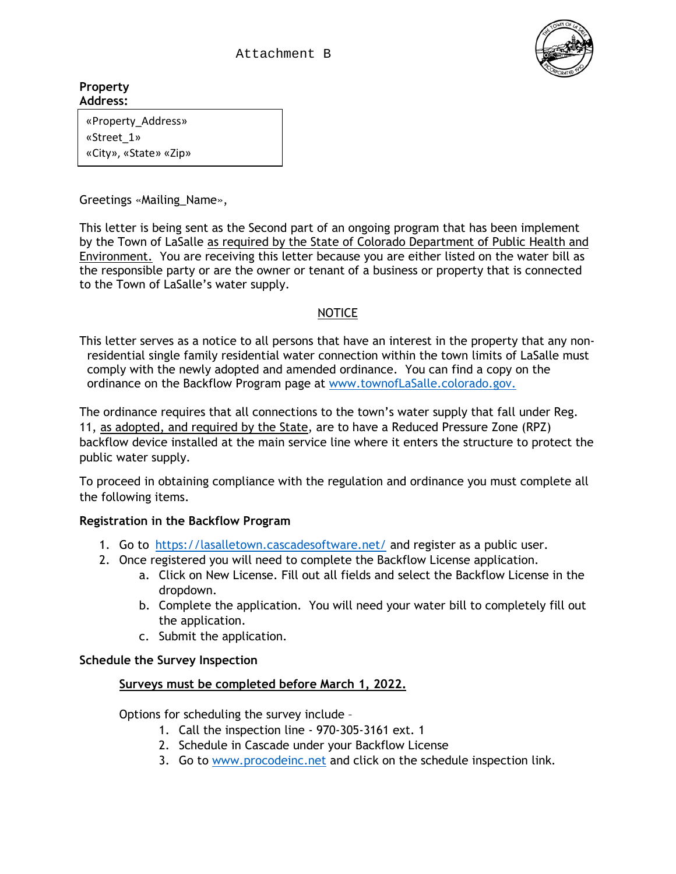Attachment B



**Property Address:**

> «Property\_Address» «Street\_1» «City», «State» «Zip»

Greetings «Mailing\_Name»,

This letter is being sent as the Second part of an ongoing program that has been implement by the Town of LaSalle as required by the State of Colorado Department of Public Health and Environment. You are receiving this letter because you are either listed on the water bill as the responsible party or are the owner or tenant of a business or property that is connected to the Town of LaSalle's water supply.

# NOTICE

This letter serves as a notice to all persons that have an interest in the property that any nonresidential single family residential water connection within the town limits of LaSalle must comply with the newly adopted and amended ordinance. You can find a copy on the ordinance on the Backflow Program page at [www.townofLaSalle.colorado.gov.](http://www.townofeaton.colorado.gov/)

The ordinance requires that all connections to the town's water supply that fall under Reg. 11, as adopted, and required by the State, are to have a Reduced Pressure Zone (RPZ) backflow device installed at the main service line where it enters the structure to protect the public water supply.

To proceed in obtaining compliance with the regulation and ordinance you must complete all the following items.

### **Registration in the Backflow Program**

- 1. Go to [https://lasalletown.cascadesoftware.net/](https://eatonco.cascadesoftware.net/) and register as a public user.
- 2. Once registered you will need to complete the Backflow License application.
	- a. Click on New License. Fill out all fields and select the Backflow License in the dropdown.
	- b. Complete the application. You will need your water bill to completely fill out the application.
	- c. Submit the application.

### **Schedule the Survey Inspection**

### **Surveys must be completed before March 1, 2022.**

Options for scheduling the survey include –

- 1. Call the inspection line 970-305-3161 ext. 1
- 2. Schedule in Cascade under your Backflow License
- 3. Go to [www.procodeinc.net](http://www.procodeinc.net/) and click on the schedule inspection link.